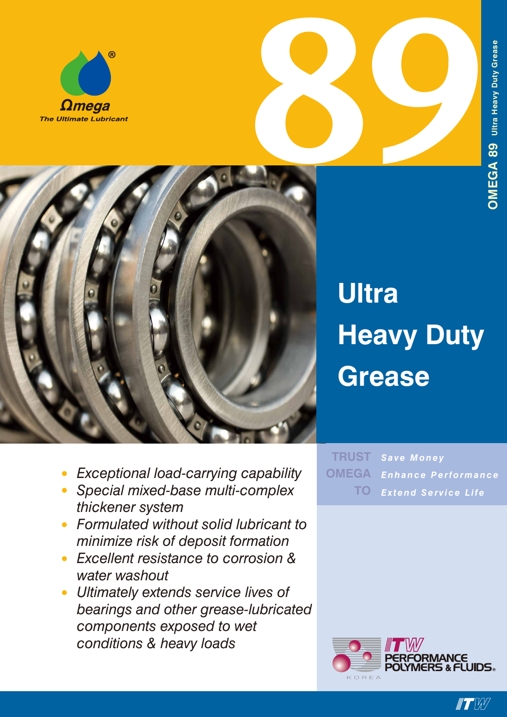



- **899** 
	- *• Exceptional load-carrying capability*
	- *• Special mixed-base multi-complex thickener system*
	- *• Formulated without solid lubricant to minimize risk of deposit formation*
	- *• Excellent resistance to corrosion & water washout*
	- *• Ultimately extends service lives of bearings and other grease-lubricated components exposed to wet conditions & heavy loads*

*Save Money Enhance Performance Extend Service Life* **TRUST OMEGA TO**



 $\blacksquare$